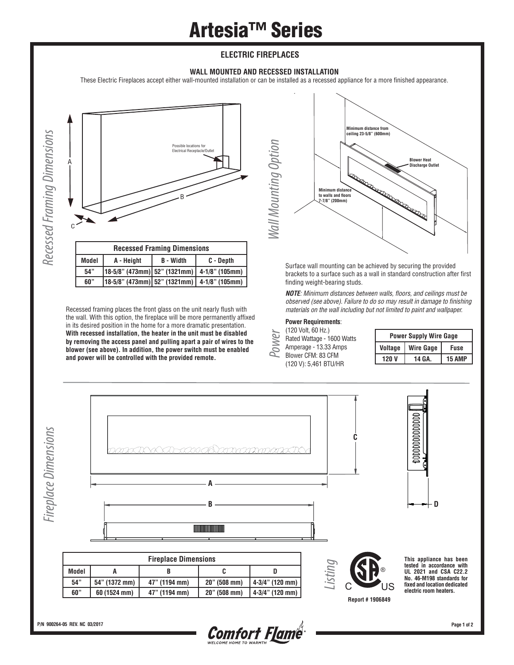# **Artesia™ Series**

### **ELECTRIC FIREPLACES**

#### **WALL MOUNTED AND RECESSED INSTALLATION**

These Electric Fireplaces accept either wall-mounted installation or can be installed as a recessed appliance for a more finished appearance.



Recessed framing places the front glass on the unit nearly flush with *materials on the wall including but not limited to paint and wallpaper.* the wall. With this option, the fireplace will be more permanently affixed in its desired position in the home for a more dramatic presentation. **With recessed installation, the heater in the unit must be disabled by removing the access panel and pulling apart a pair of wires to the blower (see above). In addition, the power switch must be enabled and power will be controlled with the provided remote.**



Surface wall mounting can be achieved by securing the provided brackets to a surface such as a wall in standard construction after first finding weight-bearing studs.

**NOTE**: Minimum distances between walls, floors, and ceilings must be *observed (see above). Failure to do so may result in damage to finishing* 

#### **Power Requirements**:

(120 Volt, 60 Hz.)

Rated Wattage - 1600 Watts *Power*

| Amperage - 13.33 Amps      |  |
|----------------------------|--|
| <b>DI-BRADERA, OO OFRA</b> |  |

| Blower CFM: 83 CFM      |  |
|-------------------------|--|
| (120 V): 5,461 B T U/HR |  |

| <b>Power Supply Wire Gage</b> |                  |               |  |
|-------------------------------|------------------|---------------|--|
| Voltage                       | <b>Wire Gage</b> | <b>Fuse</b>   |  |
| 120 V                         | 14 GA.           | <b>15 AMP</b> |  |



P/N 900264-05 REV. NC 03/2017 **Page 1 of 2**<br>**Comfort Flame**